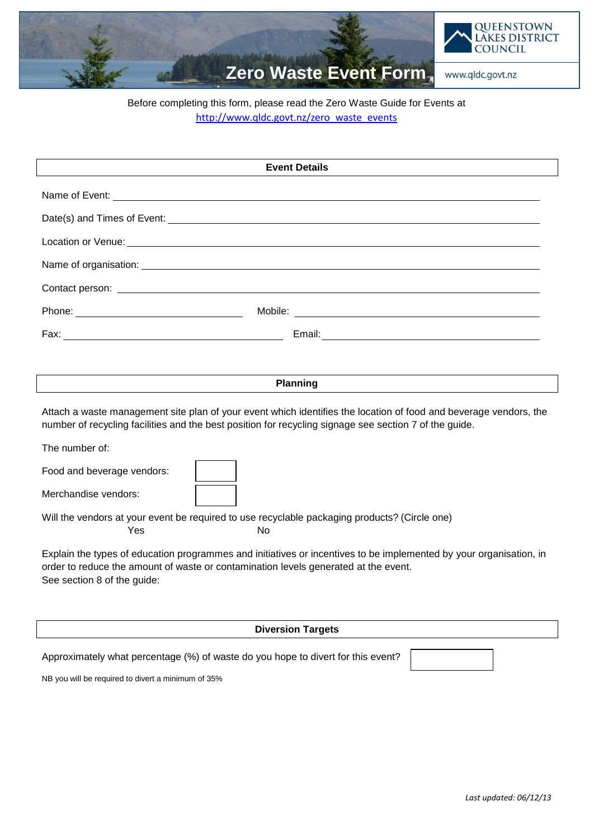

## Before completing this form, please read the Zero Waste Guide for Events at [http://www.qldc.govt.nz/zero\\_waste\\_events](http://www.qldc.govt.nz/zero_waste_events)

| <b>Event Details</b>                                                                                                                                                                                                                                                                                                                                                                                                                                                                                                                                                                                                                                          |  |  |  |
|---------------------------------------------------------------------------------------------------------------------------------------------------------------------------------------------------------------------------------------------------------------------------------------------------------------------------------------------------------------------------------------------------------------------------------------------------------------------------------------------------------------------------------------------------------------------------------------------------------------------------------------------------------------|--|--|--|
| Name of Event: Letters and the second service of the service of the service of the service of the service of the service of the service of the service of the service of the service of the service of the service of the serv                                                                                                                                                                                                                                                                                                                                                                                                                                |  |  |  |
|                                                                                                                                                                                                                                                                                                                                                                                                                                                                                                                                                                                                                                                               |  |  |  |
|                                                                                                                                                                                                                                                                                                                                                                                                                                                                                                                                                                                                                                                               |  |  |  |
|                                                                                                                                                                                                                                                                                                                                                                                                                                                                                                                                                                                                                                                               |  |  |  |
|                                                                                                                                                                                                                                                                                                                                                                                                                                                                                                                                                                                                                                                               |  |  |  |
| Mobile: When the contract of the contract of the contract of the contract of the contract of the contract of the contract of the contract of the contract of the contract of the contract of the contract of the contract of t                                                                                                                                                                                                                                                                                                                                                                                                                                |  |  |  |
|                                                                                                                                                                                                                                                                                                                                                                                                                                                                                                                                                                                                                                                               |  |  |  |
|                                                                                                                                                                                                                                                                                                                                                                                                                                                                                                                                                                                                                                                               |  |  |  |
| <b>Planning</b>                                                                                                                                                                                                                                                                                                                                                                                                                                                                                                                                                                                                                                               |  |  |  |
| Attach a waste management site plan of your event which identifies the location of food and beverage vendors, the<br>number of recycling facilities and the best position for recycling signage see section 7 of the guide.<br>The number of:<br>Food and beverage vendors:<br>Merchandise vendors:<br>Will the vendors at your event be required to use recyclable packaging products? (Circle one)<br>Yes<br>No<br>Explain the types of education programmes and initiatives or incentives to be implemented by your organisation, in<br>order to reduce the amount of waste or contamination levels generated at the event.<br>See section 8 of the guide: |  |  |  |
| <b>Diversion Targets</b>                                                                                                                                                                                                                                                                                                                                                                                                                                                                                                                                                                                                                                      |  |  |  |
| Approximately what percentage (%) of waste do you hope to divert for this event?<br>NB you will be required to divert a minimum of 35%                                                                                                                                                                                                                                                                                                                                                                                                                                                                                                                        |  |  |  |